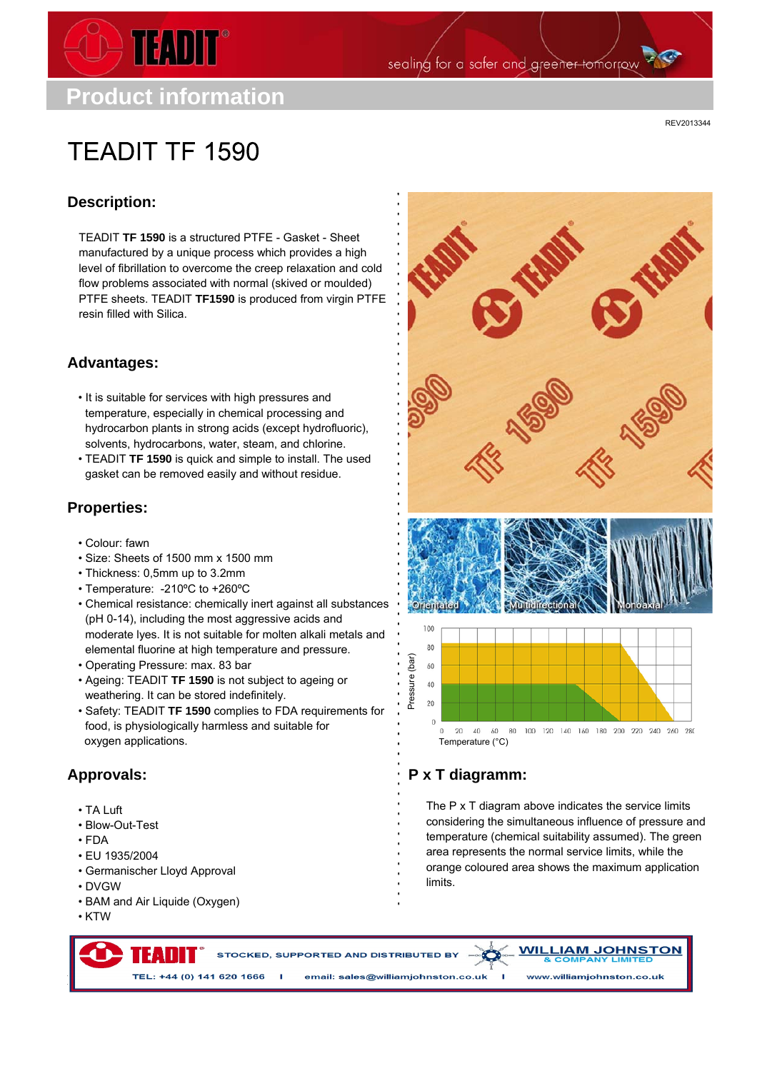

sealing for a safer and greener tomorrow

**TEADIT TF 1590** 

REV2013344

## **Description:**

TEADIT **TF 1590** is a structured PTFE - Gasket - Sheet manufactured by a unique process which provides a high level of fibrillation to overcome the creep relaxation and cold flow problems associated with normal (skived or moulded) PTFE sheets. TEADIT **TF1590** is produced from virgin PTFE resin filled with Silica.

#### **Advantages:**

- It is suitable for services with high pressures and temperature, especially in chemical processing and hydrocarbon plants in strong acids (except hydrofluoric), solvents, hydrocarbons, water, steam, and chlorine.
- TEADIT **TF 1590** is quick and simple to install. The used gasket can be removed easily and without residue.

### **Properties:**

- Colour: fawn
- Size: Sheets of 1500 mm x 1500 mm
- Thickness: 0,5mm up to 3.2mm
- Temperature: -210ºC to +260ºC
- Chemical resistance: chemically inert against all substances (pH 0-14), including the most aggressive acids and moderate lyes. It is not suitable for molten alkali metals and elemental fluorine at high temperature and pressure.
- Operating Pressure: max. 83 bar
- Ageing: TEADIT **TF 1590** is not subject to ageing or weathering. It can be stored indefinitely.
- Safety: TEADIT **TF 1590** complies to FDA requirements for food, is physiologically harmless and suitable for oxygen applications.

## **Approvals:**

- TA Luft
- Blow-Out-Test
- FDA
- EU 1935/2004
- Germanischer Lloyd Approval
- DVGW
- BAM and Air Liquide (Oxygen)

тған

• KTW



# **P x T diagramm:**

The P x T diagram above indicates the service limits considering the simultaneous influence of pressure and temperature (chemical suitability assumed). The green area represents the normal service limits, while the orange coloured area shows the maximum application limits.

STOCKED, SUPPORTED AND DISTRIBUTED BY

**WILLIAM JOHNSTON** 

TEL: +44 (0) 141 620 1666 I email: sales@williamjohnston.co.uk I www.williamjohnston.co.uk

TEADIT Deutschland - Schanzenstr. 35, 51063 Köln, GERMANY, Tel.: +49-221-922 342-0, Fax: +49-221-922 342-22, germany@teadit.eu